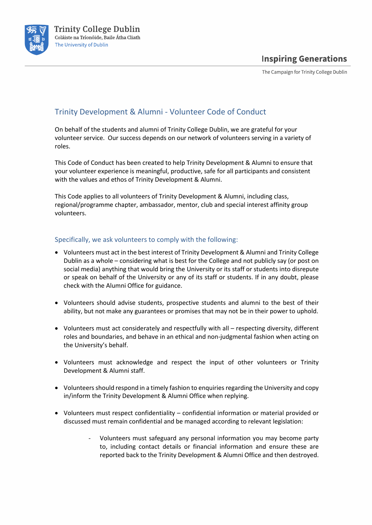

The Campaign for Trinity College Dublin

## Trinity Development & Alumni - Volunteer Code of Conduct

On behalf of the students and alumni of Trinity College Dublin, we are grateful for your volunteer service. Our success depends on our network of volunteers serving in a variety of roles.

This Code of Conduct has been created to help Trinity Development & Alumni to ensure that your volunteer experience is meaningful, productive, safe for all participants and consistent with the values and ethos of Trinity Development & Alumni.

This Code applies to all volunteers of Trinity Development & Alumni, including class, regional/programme chapter, ambassador, mentor, club and special interest affinity group volunteers.

### Specifically, we ask volunteers to comply with the following:

- Volunteers must act in the best interest of Trinity Development & Alumni and Trinity College Dublin as a whole – considering what is best for the College and not publicly say (or post on social media) anything that would bring the University or its staff or students into disrepute or speak on behalf of the University or any of its staff or students. If in any doubt, please check with the Alumni Office for guidance.
- Volunteers should advise students, prospective students and alumni to the best of their ability, but not make any guarantees or promises that may not be in their power to uphold.
- Volunteers must act considerately and respectfully with all respecting diversity, different roles and boundaries, and behave in an ethical and non-judgmental fashion when acting on the University's behalf.
- Volunteers must acknowledge and respect the input of other volunteers or Trinity Development & Alumni staff.
- Volunteers should respond in a timely fashion to enquiries regarding the University and copy in/inform the Trinity Development & Alumni Office when replying.
- Volunteers must respect confidentiality confidential information or material provided or discussed must remain confidential and be managed according to relevant legislation:
	- Volunteers must safeguard any personal information you may become party to, including contact details or financial information and ensure these are reported back to the Trinity Development & Alumni Office and then destroyed.